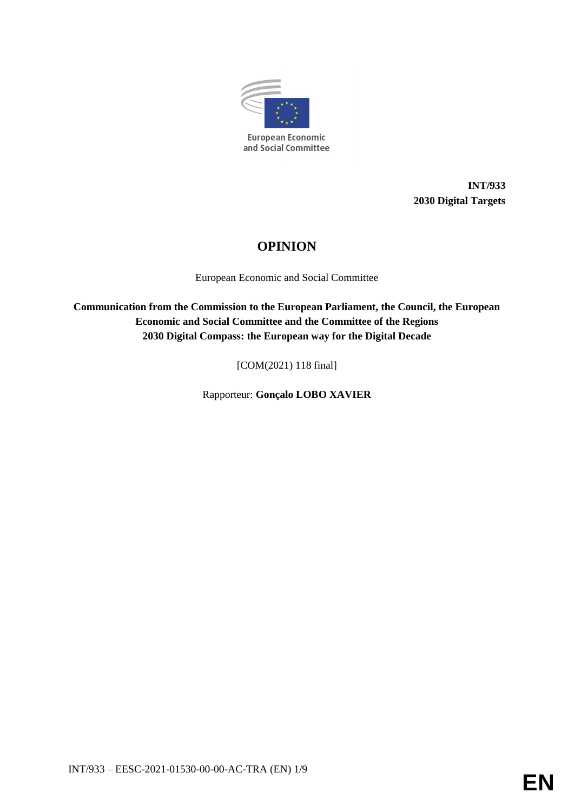

**INT/933 2030 Digital Targets**

# **OPINION**

European Economic and Social Committee

**Communication from the Commission to the European Parliament, the Council, the European Economic and Social Committee and the Committee of the Regions 2030 Digital Compass: the European way for the Digital Decade**

[COM(2021) 118 final]

Rapporteur: **Gonçalo LOBO XAVIER**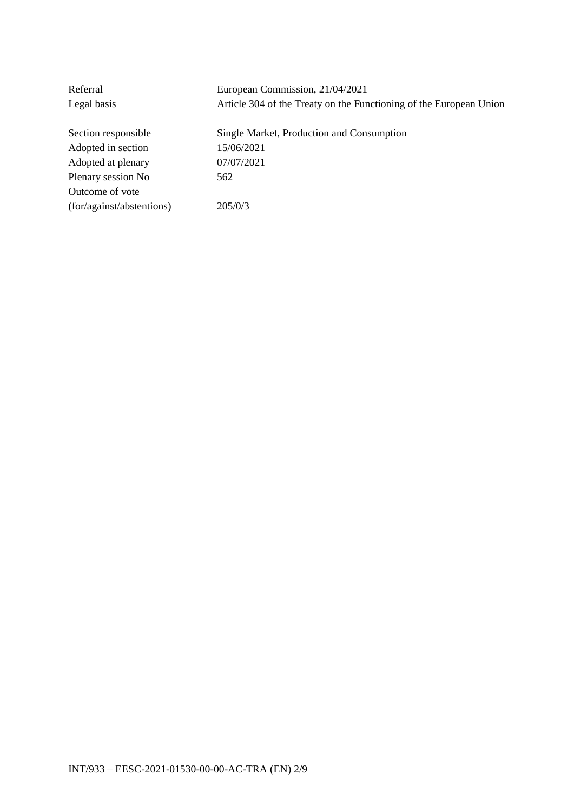| Referral                  | European Commission, 21/04/2021                                    |
|---------------------------|--------------------------------------------------------------------|
| Legal basis               | Article 304 of the Treaty on the Functioning of the European Union |
| Section responsible       | Single Market, Production and Consumption                          |
|                           |                                                                    |
| Adopted in section        | 15/06/2021                                                         |
| Adopted at plenary        | 07/07/2021                                                         |
| Plenary session No        | 562                                                                |
| Outcome of vote           |                                                                    |
| (for/against/abstentions) | 205/0/3                                                            |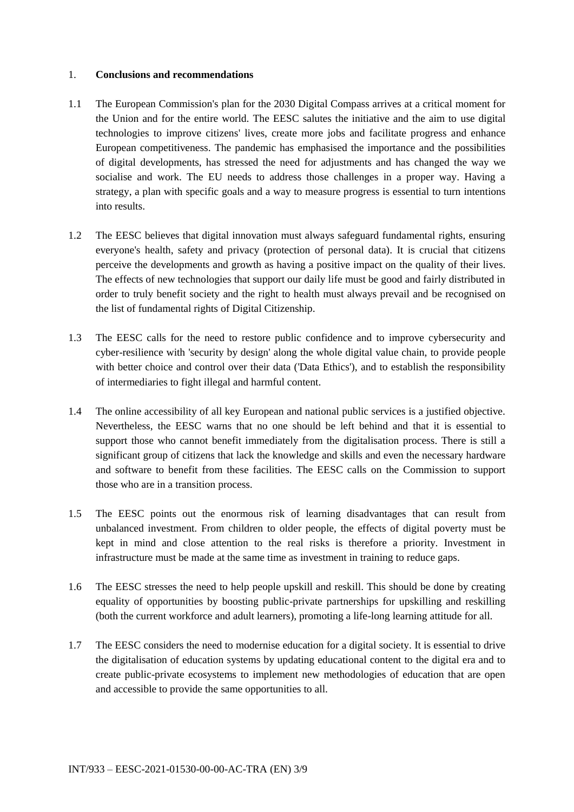#### 1. **Conclusions and recommendations**

- 1.1 The European Commission's plan for the 2030 Digital Compass arrives at a critical moment for the Union and for the entire world. The EESC salutes the initiative and the aim to use digital technologies to improve citizens' lives, create more jobs and facilitate progress and enhance European competitiveness. The pandemic has emphasised the importance and the possibilities of digital developments, has stressed the need for adjustments and has changed the way we socialise and work. The EU needs to address those challenges in a proper way. Having a strategy, a plan with specific goals and a way to measure progress is essential to turn intentions into results.
- 1.2 The EESC believes that digital innovation must always safeguard fundamental rights, ensuring everyone's health, safety and privacy (protection of personal data). It is crucial that citizens perceive the developments and growth as having a positive impact on the quality of their lives. The effects of new technologies that support our daily life must be good and fairly distributed in order to truly benefit society and the right to health must always prevail and be recognised on the list of fundamental rights of Digital Citizenship.
- 1.3 The EESC calls for the need to restore public confidence and to improve cybersecurity and cyber-resilience with 'security by design' along the whole digital value chain, to provide people with better choice and control over their data ('Data Ethics'), and to establish the responsibility of intermediaries to fight illegal and harmful content.
- 1.4 The online accessibility of all key European and national public services is a justified objective. Nevertheless, the EESC warns that no one should be left behind and that it is essential to support those who cannot benefit immediately from the digitalisation process. There is still a significant group of citizens that lack the knowledge and skills and even the necessary hardware and software to benefit from these facilities. The EESC calls on the Commission to support those who are in a transition process.
- 1.5 The EESC points out the enormous risk of learning disadvantages that can result from unbalanced investment. From children to older people, the effects of digital poverty must be kept in mind and close attention to the real risks is therefore a priority. Investment in infrastructure must be made at the same time as investment in training to reduce gaps.
- 1.6 The EESC stresses the need to help people upskill and reskill. This should be done by creating equality of opportunities by boosting public-private partnerships for upskilling and reskilling (both the current workforce and adult learners), promoting a life-long learning attitude for all.
- 1.7 The EESC considers the need to modernise education for a digital society. It is essential to drive the digitalisation of education systems by updating educational content to the digital era and to create public-private ecosystems to implement new methodologies of education that are open and accessible to provide the same opportunities to all.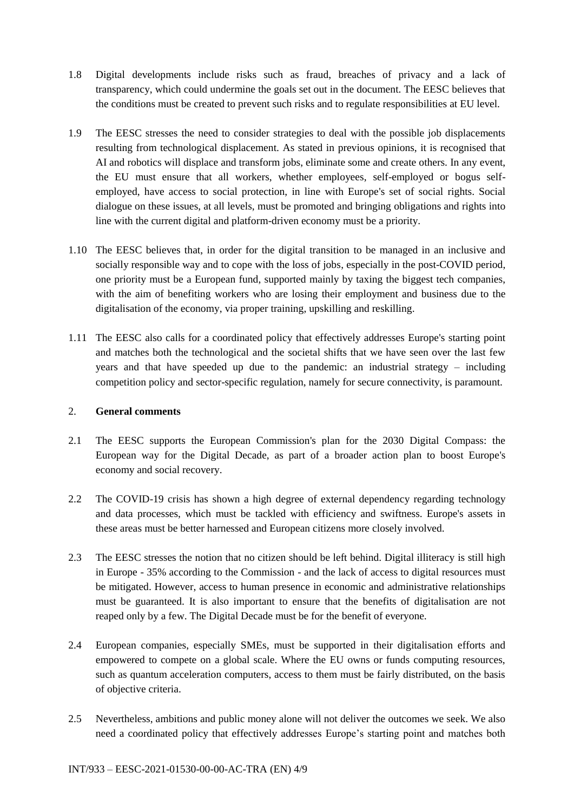- 1.8 Digital developments include risks such as fraud, breaches of privacy and a lack of transparency, which could undermine the goals set out in the document. The EESC believes that the conditions must be created to prevent such risks and to regulate responsibilities at EU level.
- 1.9 The EESC stresses the need to consider strategies to deal with the possible job displacements resulting from technological displacement. As stated in previous opinions, it is recognised that AI and robotics will displace and transform jobs, eliminate some and create others. In any event, the EU must ensure that all workers, whether employees, self-employed or bogus selfemployed, have access to social protection, in line with Europe's set of social rights. Social dialogue on these issues, at all levels, must be promoted and bringing obligations and rights into line with the current digital and platform-driven economy must be a priority.
- 1.10 The EESC believes that, in order for the digital transition to be managed in an inclusive and socially responsible way and to cope with the loss of jobs, especially in the post-COVID period, one priority must be a European fund, supported mainly by taxing the biggest tech companies, with the aim of benefiting workers who are losing their employment and business due to the digitalisation of the economy, via proper training, upskilling and reskilling.
- 1.11 The EESC also calls for a coordinated policy that effectively addresses Europe's starting point and matches both the technological and the societal shifts that we have seen over the last few years and that have speeded up due to the pandemic: an industrial strategy – including competition policy and sector-specific regulation, namely for secure connectivity, is paramount.

## 2. **General comments**

- 2.1 The EESC supports the European Commission's plan for the 2030 Digital Compass: the European way for the Digital Decade, as part of a broader action plan to boost Europe's economy and social recovery.
- 2.2 The COVID-19 crisis has shown a high degree of external dependency regarding technology and data processes, which must be tackled with efficiency and swiftness. Europe's assets in these areas must be better harnessed and European citizens more closely involved.
- 2.3 The EESC stresses the notion that no citizen should be left behind. Digital illiteracy is still high in Europe - 35% according to the Commission - and the lack of access to digital resources must be mitigated. However, access to human presence in economic and administrative relationships must be guaranteed. It is also important to ensure that the benefits of digitalisation are not reaped only by a few. The Digital Decade must be for the benefit of everyone.
- 2.4 European companies, especially SMEs, must be supported in their digitalisation efforts and empowered to compete on a global scale. Where the EU owns or funds computing resources, such as quantum acceleration computers, access to them must be fairly distributed, on the basis of objective criteria.
- 2.5 Nevertheless, ambitions and public money alone will not deliver the outcomes we seek. We also need a coordinated policy that effectively addresses Europe's starting point and matches both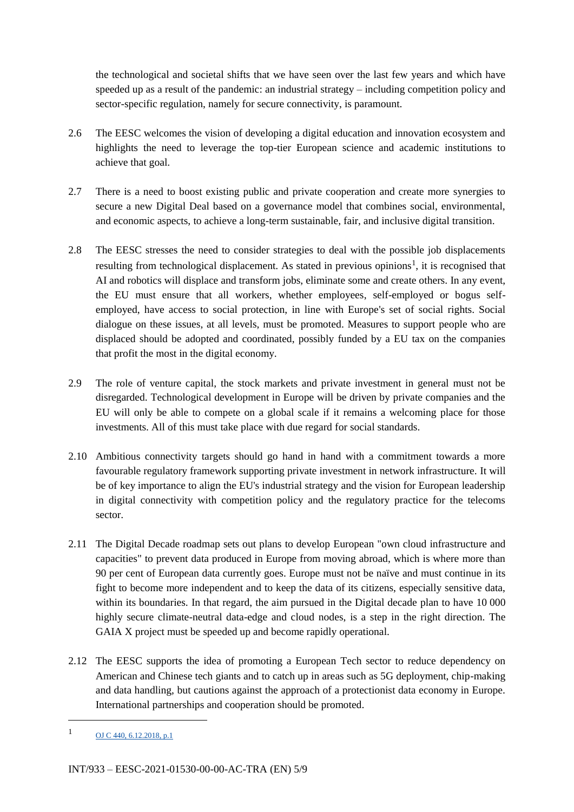the technological and societal shifts that we have seen over the last few years and which have speeded up as a result of the pandemic: an industrial strategy – including competition policy and sector-specific regulation, namely for secure connectivity, is paramount.

- 2.6 The EESC welcomes the vision of developing a digital education and innovation ecosystem and highlights the need to leverage the top-tier European science and academic institutions to achieve that goal.
- 2.7 There is a need to boost existing public and private cooperation and create more synergies to secure a new Digital Deal based on a governance model that combines social, environmental, and economic aspects, to achieve a long-term sustainable, fair, and inclusive digital transition.
- 2.8 The EESC stresses the need to consider strategies to deal with the possible job displacements resulting from technological displacement. As stated in previous opinions<sup>1</sup>, it is recognised that AI and robotics will displace and transform jobs, eliminate some and create others. In any event, the EU must ensure that all workers, whether employees, self-employed or bogus selfemployed, have access to social protection, in line with Europe's set of social rights. Social dialogue on these issues, at all levels, must be promoted. Measures to support people who are displaced should be adopted and coordinated, possibly funded by a EU tax on the companies that profit the most in the digital economy.
- 2.9 The role of venture capital, the stock markets and private investment in general must not be disregarded. Technological development in Europe will be driven by private companies and the EU will only be able to compete on a global scale if it remains a welcoming place for those investments. All of this must take place with due regard for social standards.
- 2.10 Ambitious connectivity targets should go hand in hand with a commitment towards a more favourable regulatory framework supporting private investment in network infrastructure. It will be of key importance to align the EU's industrial strategy and the vision for European leadership in digital connectivity with competition policy and the regulatory practice for the telecoms sector.
- 2.11 The Digital Decade roadmap sets out plans to develop European "own cloud infrastructure and capacities" to prevent data produced in Europe from moving abroad, which is where more than 90 per cent of European data currently goes. Europe must not be naïve and must continue in its fight to become more independent and to keep the data of its citizens, especially sensitive data, within its boundaries. In that regard, the aim pursued in the Digital decade plan to have 10 000 highly secure climate-neutral data-edge and cloud nodes, is a step in the right direction. The GAIA X project must be speeded up and become rapidly operational.
- 2.12 The EESC supports the idea of promoting a European Tech sector to reduce dependency on American and Chinese tech giants and to catch up in areas such as 5G deployment, chip-making and data handling, but cautions against the approach of a protectionist data economy in Europe. International partnerships and cooperation should be promoted.

-

 $1 \qquad \qquad \text{OJ C } 440, 6.12.2018, \text{p.1}$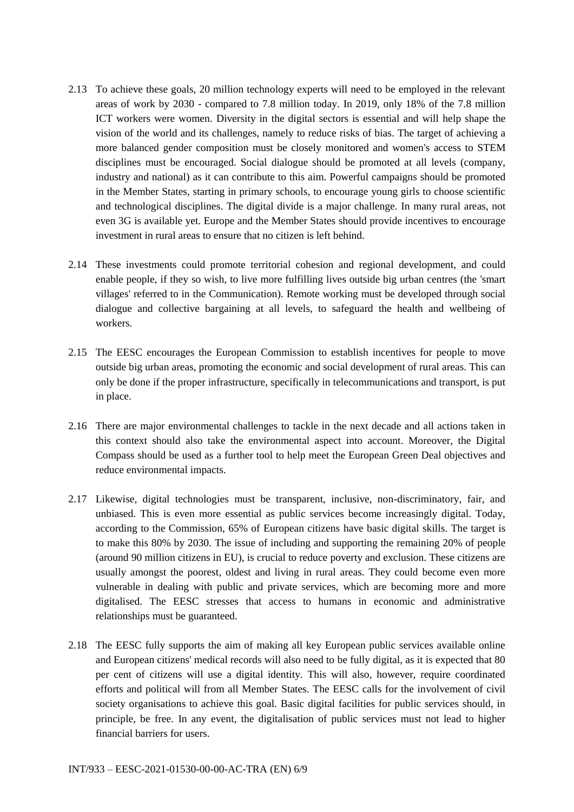- 2.13 To achieve these goals, 20 million technology experts will need to be employed in the relevant areas of work by 2030 - compared to 7.8 million today. In 2019, only 18% of the 7.8 million ICT workers were women. Diversity in the digital sectors is essential and will help shape the vision of the world and its challenges, namely to reduce risks of bias. The target of achieving a more balanced gender composition must be closely monitored and women's access to STEM disciplines must be encouraged. Social dialogue should be promoted at all levels (company, industry and national) as it can contribute to this aim. Powerful campaigns should be promoted in the Member States, starting in primary schools, to encourage young girls to choose scientific and technological disciplines. The digital divide is a major challenge. In many rural areas, not even 3G is available yet. Europe and the Member States should provide incentives to encourage investment in rural areas to ensure that no citizen is left behind.
- 2.14 These investments could promote territorial cohesion and regional development, and could enable people, if they so wish, to live more fulfilling lives outside big urban centres (the 'smart villages' referred to in the Communication). Remote working must be developed through social dialogue and collective bargaining at all levels, to safeguard the health and wellbeing of workers.
- 2.15 The EESC encourages the European Commission to establish incentives for people to move outside big urban areas, promoting the economic and social development of rural areas. This can only be done if the proper infrastructure, specifically in telecommunications and transport, is put in place.
- 2.16 There are major environmental challenges to tackle in the next decade and all actions taken in this context should also take the environmental aspect into account. Moreover, the Digital Compass should be used as a further tool to help meet the European Green Deal objectives and reduce environmental impacts.
- 2.17 Likewise, digital technologies must be transparent, inclusive, non-discriminatory, fair, and unbiased. This is even more essential as public services become increasingly digital. Today, according to the Commission, 65% of European citizens have basic digital skills. The target is to make this 80% by 2030. The issue of including and supporting the remaining 20% of people (around 90 million citizens in EU), is crucial to reduce poverty and exclusion. These citizens are usually amongst the poorest, oldest and living in rural areas. They could become even more vulnerable in dealing with public and private services, which are becoming more and more digitalised. The EESC stresses that access to humans in economic and administrative relationships must be guaranteed.
- 2.18 The EESC fully supports the aim of making all key European public services available online and European citizens' medical records will also need to be fully digital, as it is expected that 80 per cent of citizens will use a digital identity. This will also, however, require coordinated efforts and political will from all Member States. The EESC calls for the involvement of civil society organisations to achieve this goal. Basic digital facilities for public services should, in principle, be free. In any event, the digitalisation of public services must not lead to higher financial barriers for users.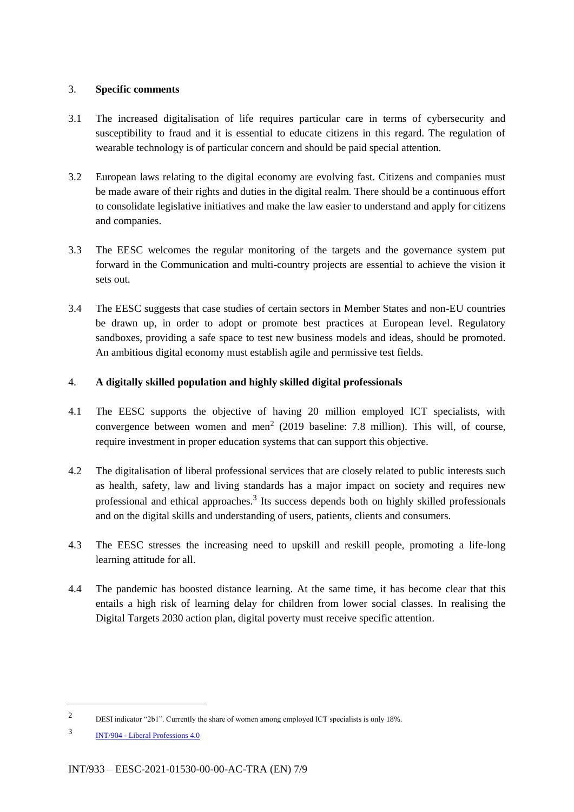## 3. **Specific comments**

- 3.1 The increased digitalisation of life requires particular care in terms of cybersecurity and susceptibility to fraud and it is essential to educate citizens in this regard. The regulation of wearable technology is of particular concern and should be paid special attention.
- 3.2 European laws relating to the digital economy are evolving fast. Citizens and companies must be made aware of their rights and duties in the digital realm. There should be a continuous effort to consolidate legislative initiatives and make the law easier to understand and apply for citizens and companies.
- 3.3 The EESC welcomes the regular monitoring of the targets and the governance system put forward in the Communication and multi-country projects are essential to achieve the vision it sets out.
- 3.4 The EESC suggests that case studies of certain sectors in Member States and non-EU countries be drawn up, in order to adopt or promote best practices at European level. Regulatory sandboxes, providing a safe space to test new business models and ideas, should be promoted. An ambitious digital economy must establish agile and permissive test fields.

## 4. **A digitally skilled population and highly skilled digital professionals**

- 4.1 The EESC supports the objective of having 20 million employed ICT specialists, with convergence between women and men<sup>2</sup> (2019 baseline: 7.8 million). This will, of course, require investment in proper education systems that can support this objective.
- 4.2 The digitalisation of liberal professional services that are closely related to public interests such as health, safety, law and living standards has a major impact on society and requires new professional and ethical approaches. 3 Its success depends both on highly skilled professionals and on the digital skills and understanding of users, patients, clients and consumers.
- 4.3 The EESC stresses the increasing need to upskill and reskill people, promoting a life-long learning attitude for all.
- 4.4 The pandemic has boosted distance learning. At the same time, it has become clear that this entails a high risk of learning delay for children from lower social classes. In realising the Digital Targets 2030 action plan, digital poverty must receive specific attention.

1

<sup>2</sup> DESI indicator "2b1". Currently the share of women among employed ICT specialists is only 18%.

<sup>3</sup> INT/904 - Liberal Professions 4.0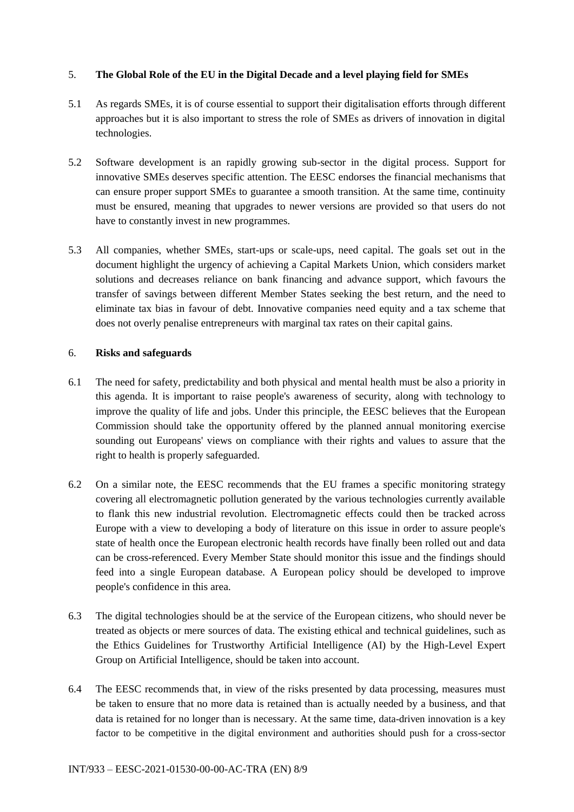## 5. **The Global Role of the EU in the Digital Decade and a level playing field for SMEs**

- 5.1 As regards SMEs, it is of course essential to support their digitalisation efforts through different approaches but it is also important to stress the role of SMEs as drivers of innovation in digital technologies.
- 5.2 Software development is an rapidly growing sub-sector in the digital process. Support for innovative SMEs deserves specific attention. The EESC endorses the financial mechanisms that can ensure proper support SMEs to guarantee a smooth transition. At the same time, continuity must be ensured, meaning that upgrades to newer versions are provided so that users do not have to constantly invest in new programmes.
- 5.3 All companies, whether SMEs, start-ups or scale-ups, need capital. The goals set out in the document highlight the urgency of achieving a Capital Markets Union, which considers market solutions and decreases reliance on bank financing and advance support, which favours the transfer of savings between different Member States seeking the best return, and the need to eliminate tax bias in favour of debt. Innovative companies need equity and a tax scheme that does not overly penalise entrepreneurs with marginal tax rates on their capital gains.

#### 6. **Risks and safeguards**

- 6.1 The need for safety, predictability and both physical and mental health must be also a priority in this agenda. It is important to raise people's awareness of security, along with technology to improve the quality of life and jobs. Under this principle, the EESC believes that the European Commission should take the opportunity offered by the planned annual monitoring exercise sounding out Europeans' views on compliance with their rights and values to assure that the right to health is properly safeguarded.
- 6.2 On a similar note, the EESC recommends that the EU frames a specific monitoring strategy covering all electromagnetic pollution generated by the various technologies currently available to flank this new industrial revolution. Electromagnetic effects could then be tracked across Europe with a view to developing a body of literature on this issue in order to assure people's state of health once the European electronic health records have finally been rolled out and data can be cross-referenced. Every Member State should monitor this issue and the findings should feed into a single European database. A European policy should be developed to improve people's confidence in this area.
- 6.3 The digital technologies should be at the service of the European citizens, who should never be treated as objects or mere sources of data. The existing ethical and technical guidelines, such as the Ethics Guidelines for Trustworthy Artificial Intelligence (AI) by the High-Level Expert Group on Artificial Intelligence, should be taken into account.
- 6.4 The EESC recommends that, in view of the risks presented by data processing, measures must be taken to ensure that no more data is retained than is actually needed by a business, and that data is retained for no longer than is necessary. At the same time, data-driven innovation is a key factor to be competitive in the digital environment and authorities should push for a cross-sector